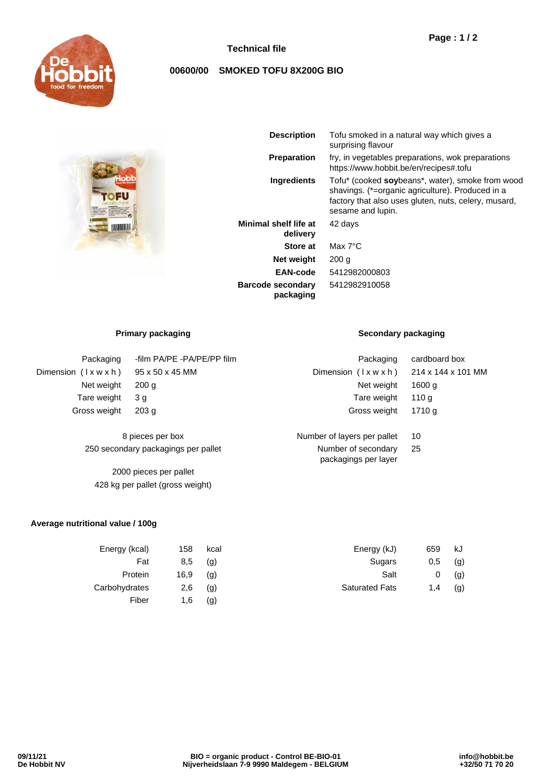

### **Technical file**

# **00600/00 SMOKED TOFU 8X200G BIO**



| <b>Description</b>                | Tofu smoked in a natural way which gives a<br>surprising flavour                                                                                                                  |  |
|-----------------------------------|-----------------------------------------------------------------------------------------------------------------------------------------------------------------------------------|--|
| <b>Preparation</b>                | fry, in vegetables preparations, wok preparations<br>https://www.hobbit.be/en/recipes#.tofu                                                                                       |  |
| <b>Ingredients</b>                | Tofu* (cooked soybeans*, water), smoke from wood<br>shavings. (*=organic agriculture). Produced in a<br>factory that also uses gluten, nuts, celery, musard,<br>sesame and lupin. |  |
| Minimal shelf life at<br>delivery | 42 days                                                                                                                                                                           |  |
| <b>Store at</b>                   | Max $7^{\circ}$ C                                                                                                                                                                 |  |
| Net weight                        | 200 <sub>g</sub>                                                                                                                                                                  |  |
| EAN-code                          | 5412982000803                                                                                                                                                                     |  |
| <b>Barcode secondary</b>          | 5412982910058                                                                                                                                                                     |  |

| Packaging                        | -film PA/PE -PA/PE/PP film | Packaging                                            | cardboard box     |  |
|----------------------------------|----------------------------|------------------------------------------------------|-------------------|--|
| Dimension $(\forall x w x h)$    | 95 x 50 x 45 MM            | Dimension $(1 \times w \times h)$ 214 x 144 x 101 MM |                   |  |
| Net weight                       | 200 <sub>q</sub>           | Net weight                                           | 1600 <sub>q</sub> |  |
| Tare weight                      | 3 <sub>q</sub>             | Tare weight                                          | 110a              |  |
| Gross weight<br>203 <sub>q</sub> |                            | Gross weight                                         | 1710 a            |  |
|                                  | 8 pieces per box           | Number of layers per pallet                          | 10                |  |

**packaging**

250 secondary packagings per pallet

2000 pieces per pallet 428 kg per pallet (gross weight)

#### **Average nutritional value / 100g**

| Energy (kcal) | 158  | kcal | Energy (kJ)           | 659 | kJ  |
|---------------|------|------|-----------------------|-----|-----|
| Fat           | 8,5  | (g)  | Sugars                | 0,5 | (g) |
| Protein       | 16,9 | (g)  | Salt                  | 0   | (g) |
| Carbohydrates | 2,6  | (g)  | <b>Saturated Fats</b> | 1.4 | (g) |
| Fiber         | 1.6  | (g)  |                       |     |     |

### **Primary packaging Secondary packaging**

| Dimension $(\forall x w x h)$               | 214 x 144 x 101 N |
|---------------------------------------------|-------------------|
| Net weight                                  | 1600 g            |
| Tare weight                                 | 110 <sub>g</sub>  |
| Gross weight                                | 1710 a            |
|                                             |                   |
| umber of layers per pallet                  | 10                |
| Number of secondary<br>packagings per layer | 25                |